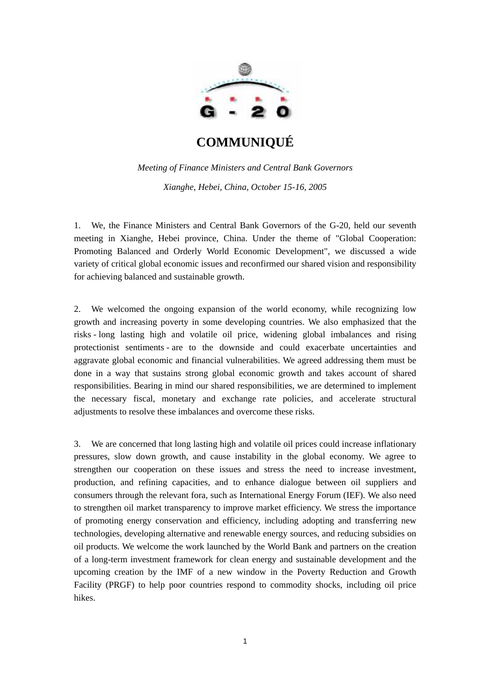

*Meeting of Finance Ministers and Central Bank Governors Xianghe, Hebei, China, October 15-16, 2005* 

1. We, the Finance Ministers and Central Bank Governors of the G-20, held our seventh meeting in Xianghe, Hebei province, China. Under the theme of "Global Cooperation: Promoting Balanced and Orderly World Economic Development", we discussed a wide variety of critical global economic issues and reconfirmed our shared vision and responsibility for achieving balanced and sustainable growth.

2. We welcomed the ongoing expansion of the world economy, while recognizing low growth and increasing poverty in some developing countries. We also emphasized that the risks - long lasting high and volatile oil price, widening global imbalances and rising protectionist sentiments - are to the downside and could exacerbate uncertainties and aggravate global economic and financial vulnerabilities. We agreed addressing them must be done in a way that sustains strong global economic growth and takes account of shared responsibilities. Bearing in mind our shared responsibilities, we are determined to implement the necessary fiscal, monetary and exchange rate policies, and accelerate structural adjustments to resolve these imbalances and overcome these risks.

3. We are concerned that long lasting high and volatile oil prices could increase inflationary pressures, slow down growth, and cause instability in the global economy. We agree to strengthen our cooperation on these issues and stress the need to increase investment, production, and refining capacities, and to enhance dialogue between oil suppliers and consumers through the relevant fora, such as International Energy Forum (IEF). We also need to strengthen oil market transparency to improve market efficiency. We stress the importance of promoting energy conservation and efficiency, including adopting and transferring new technologies, developing alternative and renewable energy sources, and reducing subsidies on oil products. We welcome the work launched by the World Bank and partners on the creation of a long-term investment framework for clean energy and sustainable development and the upcoming creation by the IMF of a new window in the Poverty Reduction and Growth Facility (PRGF) to help poor countries respond to commodity shocks, including oil price hikes.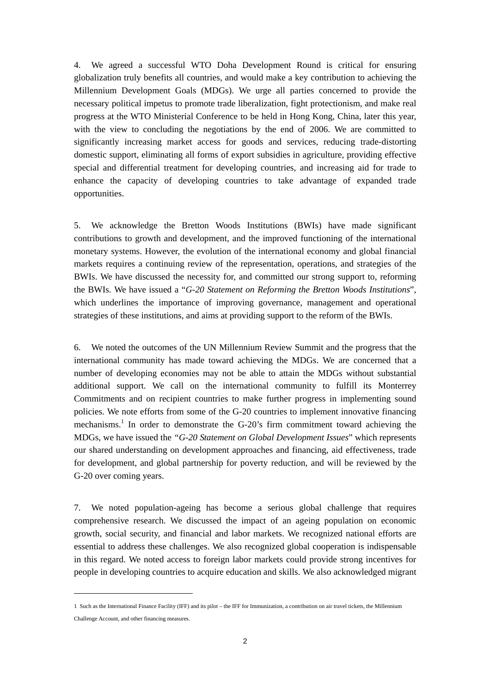4. We agreed a successful WTO Doha Development Round is critical for ensuring globalization truly benefits all countries, and would make a key contribution to achieving the Millennium Development Goals (MDGs). We urge all parties concerned to provide the necessary political impetus to promote trade liberalization, fight protectionism, and make real progress at the WTO Ministerial Conference to be held in Hong Kong, China, later this year, with the view to concluding the negotiations by the end of 2006. We are committed to significantly increasing market access for goods and services, reducing trade-distorting domestic support, eliminating all forms of export subsidies in agriculture, providing effective special and differential treatment for developing countries, and increasing aid for trade to enhance the capacity of developing countries to take advantage of expanded trade opportunities.

5. We acknowledge the Bretton Woods Institutions (BWIs) have made significant contributions to growth and development, and the improved functioning of the international monetary systems. However, the evolution of the international economy and global financial markets requires a continuing review of the representation, operations, and strategies of the BWIs. We have discussed the necessity for, and committed our strong support to, reforming the BWIs. We have issued a "*G-20 Statement on Reforming the Bretton Woods Institutions*", which underlines the importance of improving governance, management and operational strategies of these institutions, and aims at providing support to the reform of the BWIs.

6. We noted the outcomes of the UN Millennium Review Summit and the progress that the international community has made toward achieving the MDGs. We are concerned that a number of developing economies may not be able to attain the MDGs without substantial additional support. We call on the international community to fulfill its Monterrey Commitments and on recipient countries to make further progress in implementing sound policies. We note efforts from some of the G-20 countries to implement innovative financing mechanisms.<sup>[1](#page-1-0)</sup> In order to demonstrate the G-20's firm commitment toward achieving the MDGs, we have issued the *"G-20 Statement on Global Development Issues*" which represents our shared understanding on development approaches and financing, aid effectiveness, trade for development, and global partnership for poverty reduction, and will be reviewed by the G-20 over coming years.

7. We noted population-ageing has become a serious global challenge that requires comprehensive research. We discussed the impact of an ageing population on economic growth, social security, and financial and labor markets. We recognized national efforts are essential to address these challenges. We also recognized global cooperation is indispensable in this regard. We noted access to foreign labor markets could provide strong incentives for people in developing countries to acquire education and skills. We also acknowledged migrant

<span id="page-1-0"></span><sup>1</sup> Such as the International Finance Facility (IFF) and its pilot – the IFF for Immunization, a contribution on air travel tickets, the Millennium Challenge Account, and other financing measures.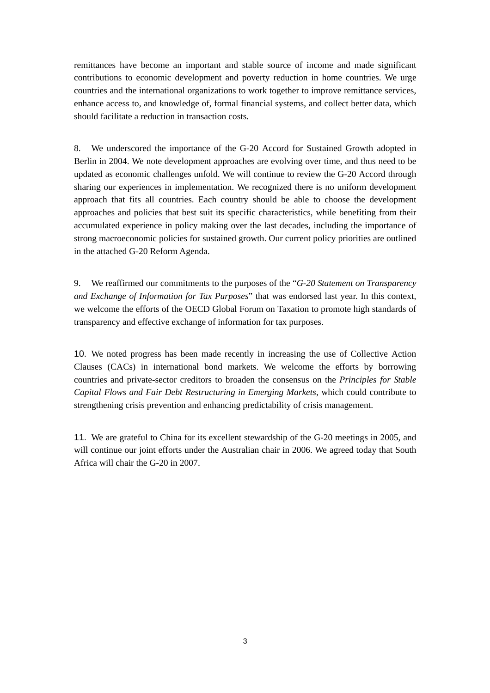remittances have become an important and stable source of income and made significant contributions to economic development and poverty reduction in home countries. We urge countries and the international organizations to work together to improve remittance services, enhance access to, and knowledge of, formal financial systems, and collect better data, which should facilitate a reduction in transaction costs.

8. We underscored the importance of the G-20 Accord for Sustained Growth adopted in Berlin in 2004. We note development approaches are evolving over time, and thus need to be updated as economic challenges unfold. We will continue to review the G-20 Accord through sharing our experiences in implementation. We recognized there is no uniform development approach that fits all countries. Each country should be able to choose the development approaches and policies that best suit its specific characteristics, while benefiting from their accumulated experience in policy making over the last decades, including the importance of strong macroeconomic policies for sustained growth. Our current policy priorities are outlined in the attached G-20 Reform Agenda.

9. We reaffirmed our commitments to the purposes of the "*G-20 Statement on Transparency and Exchange of Information for Tax Purposes*" that was endorsed last year. In this context, we welcome the efforts of the OECD Global Forum on Taxation to promote high standards of transparency and effective exchange of information for tax purposes.

10. We noted progress has been made recently in increasing the use of Collective Action Clauses (CACs) in international bond markets. We welcome the efforts by borrowing countries and private-sector creditors to broaden the consensus on the *Principles for Stable Capital Flows and Fair Debt Restructuring in Emerging Markets,* which could contribute to strengthening crisis prevention and enhancing predictability of crisis management.

11. We are grateful to China for its excellent stewardship of the G-20 meetings in 2005, and will continue our joint efforts under the Australian chair in 2006. We agreed today that South Africa will chair the G-20 in 2007.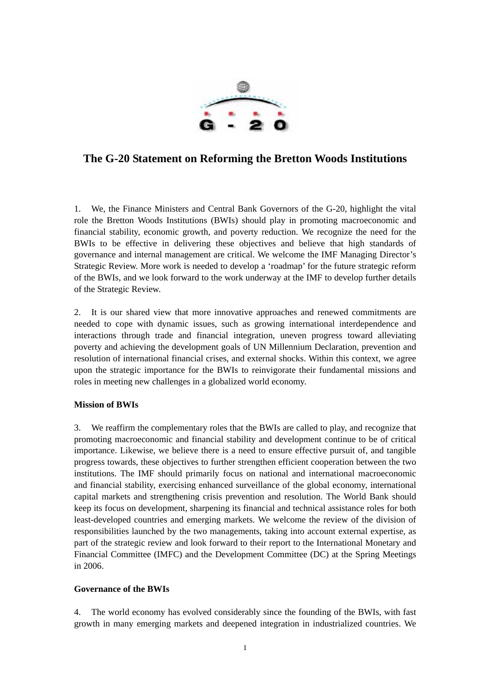

# **The G-20 Statement on Reforming the Bretton Woods Institutions**

1. We, the Finance Ministers and Central Bank Governors of the G-20, highlight the vital role the Bretton Woods Institutions (BWIs) should play in promoting macroeconomic and financial stability, economic growth, and poverty reduction. We recognize the need for the BWIs to be effective in delivering these objectives and believe that high standards of governance and internal management are critical. We welcome the IMF Managing Director's Strategic Review. More work is needed to develop a 'roadmap' for the future strategic reform of the BWIs, and we look forward to the work underway at the IMF to develop further details of the Strategic Review.

2. It is our shared view that more innovative approaches and renewed commitments are needed to cope with dynamic issues, such as growing international interdependence and interactions through trade and financial integration, uneven progress toward alleviating poverty and achieving the development goals of UN Millennium Declaration, prevention and resolution of international financial crises, and external shocks. Within this context, we agree upon the strategic importance for the BWIs to reinvigorate their fundamental missions and roles in meeting new challenges in a globalized world economy.

# **Mission of BWIs**

3. We reaffirm the complementary roles that the BWIs are called to play, and recognize that promoting macroeconomic and financial stability and development continue to be of critical importance. Likewise, we believe there is a need to ensure effective pursuit of, and tangible progress towards, these objectives to further strengthen efficient cooperation between the two institutions. The IMF should primarily focus on national and international macroeconomic and financial stability, exercising enhanced surveillance of the global economy, international capital markets and strengthening crisis prevention and resolution. The World Bank should keep its focus on development, sharpening its financial and technical assistance roles for both least-developed countries and emerging markets. We welcome the review of the division of responsibilities launched by the two managements, taking into account external expertise, as part of the strategic review and look forward to their report to the International Monetary and Financial Committee (IMFC) and the Development Committee (DC) at the Spring Meetings in 2006.

### **Governance of the BWIs**

4. The world economy has evolved considerably since the founding of the BWIs, with fast growth in many emerging markets and deepened integration in industrialized countries. We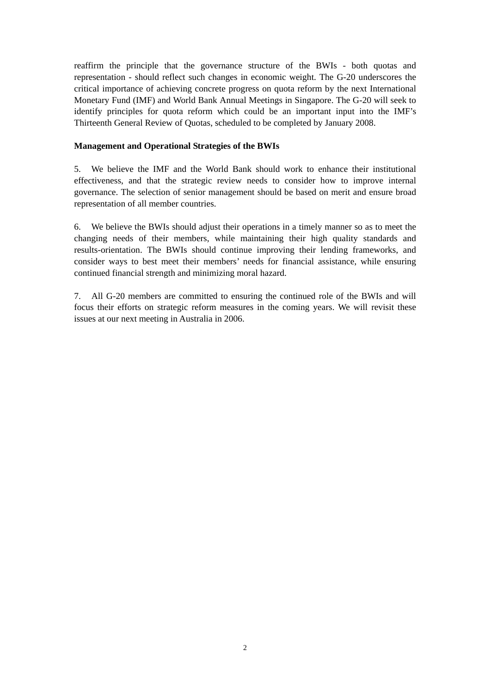reaffirm the principle that the governance structure of the BWIs - both quotas and representation - should reflect such changes in economic weight. The G-20 underscores the critical importance of achieving concrete progress on quota reform by the next International Monetary Fund (IMF) and World Bank Annual Meetings in Singapore. The G-20 will seek to identify principles for quota reform which could be an important input into the IMF's Thirteenth General Review of Quotas, scheduled to be completed by January 2008.

#### **Management and Operational Strategies of the BWIs**

5. We believe the IMF and the World Bank should work to enhance their institutional effectiveness, and that the strategic review needs to consider how to improve internal governance. The selection of senior management should be based on merit and ensure broad representation of all member countries.

6. We believe the BWIs should adjust their operations in a timely manner so as to meet the changing needs of their members, while maintaining their high quality standards and results-orientation. The BWIs should continue improving their lending frameworks, and consider ways to best meet their members' needs for financial assistance, while ensuring continued financial strength and minimizing moral hazard.

7. All G-20 members are committed to ensuring the continued role of the BWIs and will focus their efforts on strategic reform measures in the coming years. We will revisit these issues at our next meeting in Australia in 2006.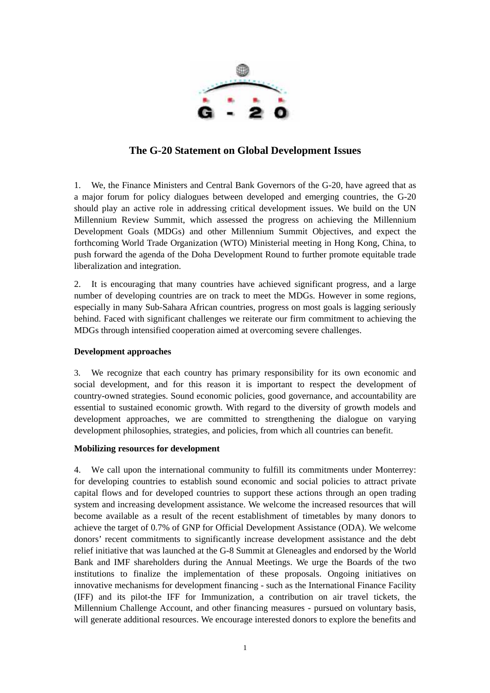

# **The G-20 Statement on Global Development Issues**

1. We, the Finance Ministers and Central Bank Governors of the G-20, have agreed that as a major forum for policy dialogues between developed and emerging countries, the G-20 should play an active role in addressing critical development issues. We build on the UN Millennium Review Summit, which assessed the progress on achieving the Millennium Development Goals (MDGs) and other Millennium Summit Objectives, and expect the forthcoming World Trade Organization (WTO) Ministerial meeting in Hong Kong, China, to push forward the agenda of the Doha Development Round to further promote equitable trade liberalization and integration.

2. It is encouraging that many countries have achieved significant progress, and a large number of developing countries are on track to meet the MDGs. However in some regions, especially in many Sub-Sahara African countries, progress on most goals is lagging seriously behind. Faced with significant challenges we reiterate our firm commitment to achieving the MDGs through intensified cooperation aimed at overcoming severe challenges.

# **Development approaches**

3. We recognize that each country has primary responsibility for its own economic and social development, and for this reason it is important to respect the development of country-owned strategies. Sound economic policies, good governance, and accountability are essential to sustained economic growth. With regard to the diversity of growth models and development approaches, we are committed to strengthening the dialogue on varying development philosophies, strategies, and policies, from which all countries can benefit.

### **Mobilizing resources for development**

4. We call upon the international community to fulfill its commitments under Monterrey: for developing countries to establish sound economic and social policies to attract private capital flows and for developed countries to support these actions through an open trading system and increasing development assistance. We welcome the increased resources that will become available as a result of the recent establishment of timetables by many donors to achieve the target of 0.7% of GNP for Official Development Assistance (ODA). We welcome donors' recent commitments to significantly increase development assistance and the debt relief initiative that was launched at the G-8 Summit at Gleneagles and endorsed by the World Bank and IMF shareholders during the Annual Meetings. We urge the Boards of the two institutions to finalize the implementation of these proposals. Ongoing initiatives on innovative mechanisms for development financing - such as the International Finance Facility (IFF) and its pilot-the IFF for Immunization, a contribution on air travel tickets, the Millennium Challenge Account, and other financing measures - pursued on voluntary basis, will generate additional resources. We encourage interested donors to explore the benefits and